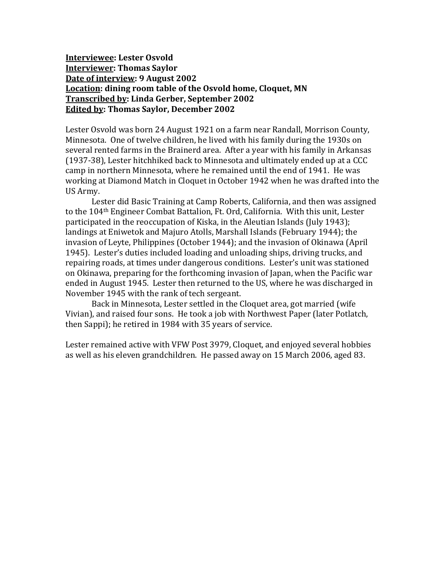#### **Interviewee: Lester Osvold Interviewer: Thomas Saylor Date of interview: 9 August 2002 Location: dining room table of the Osvold home, Cloquet, MN Transcribed by: Linda Gerber, September 2002 Edited by: Thomas Saylor, December 2002**

Lester Osvold was born 24 August 1921 on a farm near Randall, Morrison County, Minnesota. One of twelve children, he lived with his family during the 1930s on several rented farms in the Brainerd area. After a year with his family in Arkansas (1937-38), Lester hitchhiked back to Minnesota and ultimately ended up at a CCC camp in northern Minnesota, where he remained until the end of 1941. He was working at Diamond Match in Cloquet in October 1942 when he was drafted into the US Army.

Lester did Basic Training at Camp Roberts, California, and then was assigned to the 104th Engineer Combat Battalion, Ft. Ord, California. With this unit, Lester participated in the reoccupation of Kiska, in the Aleutian Islands (July 1943); landings at Eniwetok and Majuro Atolls, Marshall Islands (February 1944); the invasion of Leyte, Philippines (October 1944); and the invasion of Okinawa (April 1945). Lester's duties included loading and unloading ships, driving trucks, and repairing roads, at times under dangerous conditions. Lester's unit was stationed on Okinawa, preparing for the forthcoming invasion of Japan, when the Pacific war ended in August 1945. Lester then returned to the US, where he was discharged in November 1945 with the rank of tech sergeant.

Back in Minnesota, Lester settled in the Cloquet area, got married (wife Vivian), and raised four sons. He took a job with Northwest Paper (later Potlatch, then Sappi); he retired in 1984 with 35 years of service.

Lester remained active with VFW Post 3979, Cloquet, and enjoyed several hobbies as well as his eleven grandchildren. He passed away on 15 March 2006, aged 83.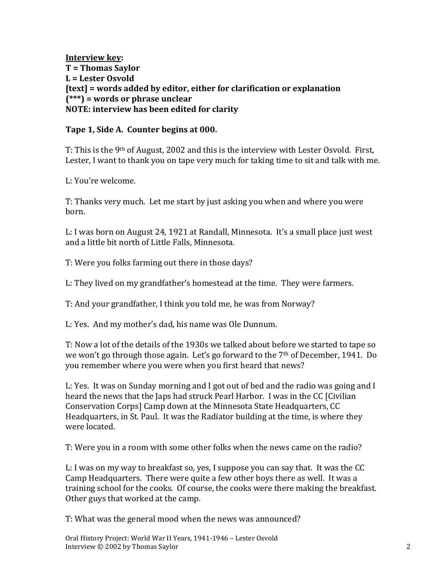**Interview key: T = Thomas Saylor L = Lester Osvold [text] = words added by editor, either for clarification or explanation (\*\*\*) = words or phrase unclear NOTE: interview has been edited for clarity**

### **Tape 1, Side A. Counter begins at 000.**

T: This is the 9<sup>th</sup> of August, 2002 and this is the interview with Lester Osvold. First, Lester, I want to thank you on tape very much for taking time to sit and talk with me.

L: You're welcome.

T: Thanks very much. Let me start by just asking you when and where you were born.

L: I was born on August 24, 1921 at Randall, Minnesota. It's a small place just west and a little bit north of Little Falls, Minnesota.

T: Were you folks farming out there in those days?

L: They lived on my grandfather's homestead at the time. They were farmers.

T: And your grandfather, I think you told me, he was from Norway?

L: Yes. And my mother's dad, his name was Ole Dunnum.

T: Now a lot of the details of the 1930s we talked about before we started to tape so we won't go through those again. Let's go forward to the 7th of December, 1941. Do you remember where you were when you first heard that news?

L: Yes. It was on Sunday morning and I got out of bed and the radio was going and I heard the news that the Japs had struck Pearl Harbor. I was in the CC [Civilian Conservation Corps] Camp down at the Minnesota State Headquarters, CC Headquarters, in St. Paul. It was the Radiator building at the time, is where they were located.

T: Were you in a room with some other folks when the news came on the radio?

L: I was on my way to breakfast so, yes, I suppose you can say that. It was the CC Camp Headquarters. There were quite a few other boys there as well. It was a training school for the cooks. Of course, the cooks were there making the breakfast. Other guys that worked at the camp.

T: What was the general mood when the news was announced?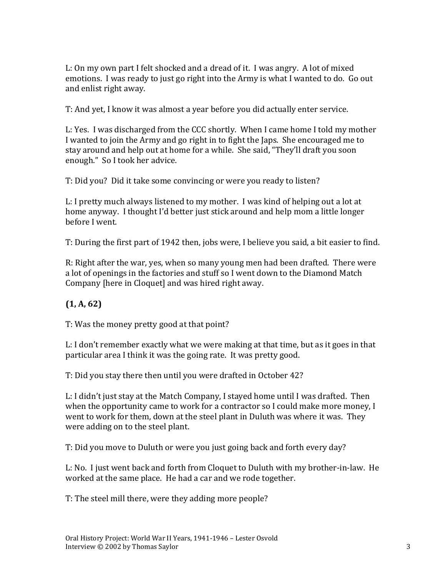L: On my own part I felt shocked and a dread of it. I was angry. A lot of mixed emotions. I was ready to just go right into the Army is what I wanted to do. Go out and enlist right away.

T: And yet, I know it was almost a year before you did actually enter service.

L: Yes. I was discharged from the CCC shortly. When I came home I told my mother I wanted to join the Army and go right in to fight the Japs. She encouraged me to stay around and help out at home for a while. She said, "They'll draft you soon enough." So I took her advice.

T: Did you? Did it take some convincing or were you ready to listen?

L: I pretty much always listened to my mother. I was kind of helping out a lot at home anyway. I thought I'd better just stick around and help mom a little longer before I went.

T: During the first part of 1942 then, jobs were, I believe you said, a bit easier to find.

R: Right after the war, yes, when so many young men had been drafted. There were a lot of openings in the factories and stuff so I went down to the Diamond Match Company [here in Cloquet] and was hired right away.

# **(1, A, 62)**

T: Was the money pretty good at that point?

L: I don't remember exactly what we were making at that time, but as it goes in that particular area I think it was the going rate. It was pretty good.

T: Did you stay there then until you were drafted in October 42?

L: I didn't just stay at the Match Company, I stayed home until I was drafted. Then when the opportunity came to work for a contractor so I could make more money, I went to work for them, down at the steel plant in Duluth was where it was. They were adding on to the steel plant.

T: Did you move to Duluth or were you just going back and forth every day?

L: No. I just went back and forth from Cloquet to Duluth with my brother-in-law. He worked at the same place. He had a car and we rode together.

T: The steel mill there, were they adding more people?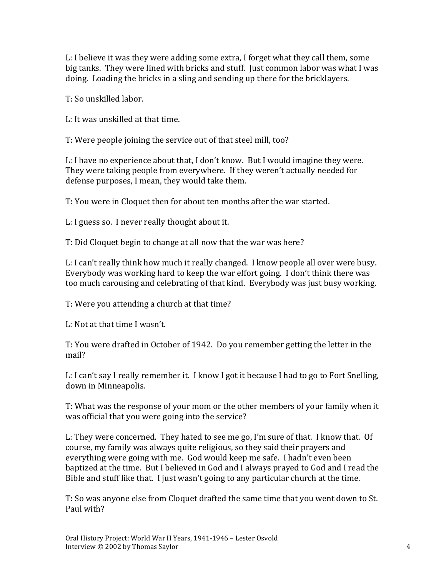L: I believe it was they were adding some extra, I forget what they call them, some big tanks. They were lined with bricks and stuff. Just common labor was what I was doing. Loading the bricks in a sling and sending up there for the bricklayers.

T: So unskilled labor.

L: It was unskilled at that time.

T: Were people joining the service out of that steel mill, too?

L: I have no experience about that, I don't know. But I would imagine they were. They were taking people from everywhere. If they weren't actually needed for defense purposes, I mean, they would take them.

T: You were in Cloquet then for about ten months after the war started.

L: I guess so. I never really thought about it.

T: Did Cloquet begin to change at all now that the war was here?

L: I can't really think how much it really changed. I know people all over were busy. Everybody was working hard to keep the war effort going. I don't think there was too much carousing and celebrating of that kind. Everybody was just busy working.

T: Were you attending a church at that time?

L: Not at that time I wasn't.

T: You were drafted in October of 1942. Do you remember getting the letter in the mail?

L: I can't say I really remember it. I know I got it because I had to go to Fort Snelling, down in Minneapolis.

T: What was the response of your mom or the other members of your family when it was official that you were going into the service?

L: They were concerned. They hated to see me go, I'm sure of that. I know that. Of course, my family was always quite religious, so they said their prayers and everything were going with me. God would keep me safe. I hadn't even been baptized at the time. But I believed in God and I always prayed to God and I read the Bible and stuff like that. I just wasn't going to any particular church at the time.

T: So was anyone else from Cloquet drafted the same time that you went down to St. Paul with?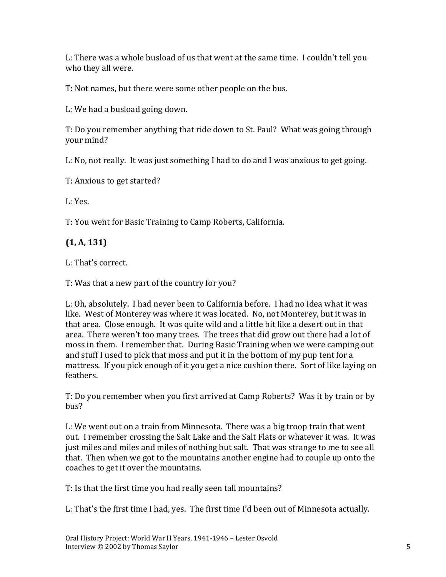L: There was a whole busload of us that went at the same time. I couldn't tell you who they all were.

T: Not names, but there were some other people on the bus.

L: We had a busload going down.

T: Do you remember anything that ride down to St. Paul? What was going through your mind?

L: No, not really. It was just something I had to do and I was anxious to get going.

T: Anxious to get started?

L: Yes.

T: You went for Basic Training to Camp Roberts, California.

# **(1, A, 131)**

L: That's correct.

T: Was that a new part of the country for you?

L: Oh, absolutely. I had never been to California before. I had no idea what it was like. West of Monterey was where it was located. No, not Monterey, but it was in that area. Close enough. It was quite wild and a little bit like a desert out in that area. There weren't too many trees. The trees that did grow out there had a lot of moss in them. I remember that. During Basic Training when we were camping out and stuff I used to pick that moss and put it in the bottom of my pup tent for a mattress. If you pick enough of it you get a nice cushion there. Sort of like laying on feathers.

T: Do you remember when you first arrived at Camp Roberts? Was it by train or by bus?

L: We went out on a train from Minnesota. There was a big troop train that went out. I remember crossing the Salt Lake and the Salt Flats or whatever it was. It was just miles and miles and miles of nothing but salt. That was strange to me to see all that. Then when we got to the mountains another engine had to couple up onto the coaches to get it over the mountains.

T: Is that the first time you had really seen tall mountains?

L: That's the first time I had, yes. The first time I'd been out of Minnesota actually.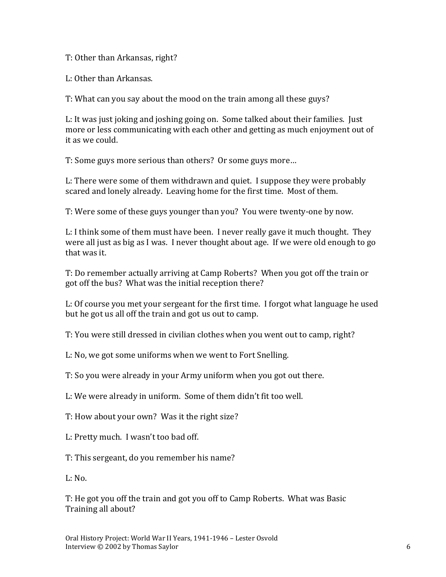T: Other than Arkansas, right?

L: Other than Arkansas.

T: What can you say about the mood on the train among all these guys?

L: It was just joking and joshing going on. Some talked about their families. Just more or less communicating with each other and getting as much enjoyment out of it as we could.

T: Some guys more serious than others? Or some guys more…

L: There were some of them withdrawn and quiet. I suppose they were probably scared and lonely already. Leaving home for the first time. Most of them.

T: Were some of these guys younger than you? You were twenty-one by now.

L: I think some of them must have been. I never really gave it much thought. They were all just as big as I was. I never thought about age. If we were old enough to go that was it.

T: Do remember actually arriving at Camp Roberts? When you got off the train or got off the bus? What was the initial reception there?

L: Of course you met your sergeant for the first time. I forgot what language he used but he got us all off the train and got us out to camp.

T: You were still dressed in civilian clothes when you went out to camp, right?

L: No, we got some uniforms when we went to Fort Snelling.

T: So you were already in your Army uniform when you got out there.

L: We were already in uniform. Some of them didn't fit too well.

T: How about your own? Was it the right size?

L: Pretty much. I wasn't too bad off.

T: This sergeant, do you remember his name?

 $L: No.$ 

T: He got you off the train and got you off to Camp Roberts. What was Basic Training all about?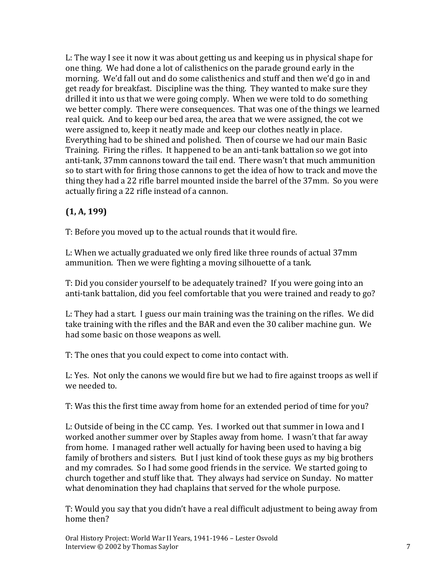L: The way I see it now it was about getting us and keeping us in physical shape for one thing. We had done a lot of calisthenics on the parade ground early in the morning. We'd fall out and do some calisthenics and stuff and then we'd go in and get ready for breakfast. Discipline was the thing. They wanted to make sure they drilled it into us that we were going comply. When we were told to do something we better comply. There were consequences. That was one of the things we learned real quick. And to keep our bed area, the area that we were assigned, the cot we were assigned to, keep it neatly made and keep our clothes neatly in place. Everything had to be shined and polished. Then of course we had our main Basic Training. Firing the rifles. It happened to be an anti-tank battalion so we got into anti-tank, 37mm cannons toward the tail end. There wasn't that much ammunition so to start with for firing those cannons to get the idea of how to track and move the thing they had a 22 rifle barrel mounted inside the barrel of the 37mm. So you were actually firing a 22 rifle instead of a cannon.

# **(1, A, 199)**

T: Before you moved up to the actual rounds that it would fire.

L: When we actually graduated we only fired like three rounds of actual 37mm ammunition. Then we were fighting a moving silhouette of a tank.

T: Did you consider yourself to be adequately trained? If you were going into an anti-tank battalion, did you feel comfortable that you were trained and ready to go?

L: They had a start. I guess our main training was the training on the rifles. We did take training with the rifles and the BAR and even the 30 caliber machine gun. We had some basic on those weapons as well.

T: The ones that you could expect to come into contact with.

L: Yes. Not only the canons we would fire but we had to fire against troops as well if we needed to.

T: Was this the first time away from home for an extended period of time for you?

L: Outside of being in the CC camp. Yes. I worked out that summer in Iowa and I worked another summer over by Staples away from home. I wasn't that far away from home. I managed rather well actually for having been used to having a big family of brothers and sisters. But I just kind of took these guys as my big brothers and my comrades. So I had some good friends in the service. We started going to church together and stuff like that. They always had service on Sunday. No matter what denomination they had chaplains that served for the whole purpose.

T: Would you say that you didn't have a real difficult adjustment to being away from home then?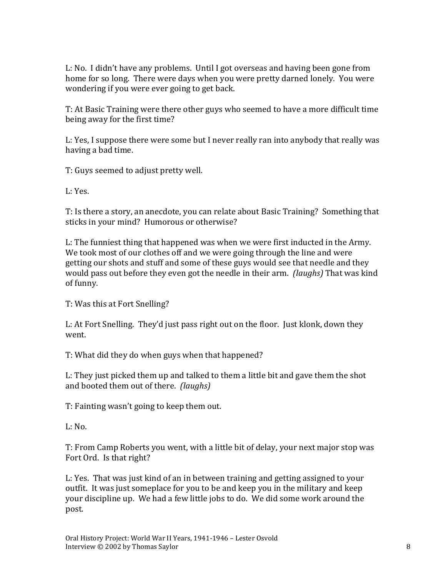L: No. I didn't have any problems. Until I got overseas and having been gone from home for so long. There were days when you were pretty darned lonely. You were wondering if you were ever going to get back.

T: At Basic Training were there other guys who seemed to have a more difficult time being away for the first time?

L: Yes, I suppose there were some but I never really ran into anybody that really was having a bad time.

T: Guys seemed to adjust pretty well.

L: Yes.

T: Is there a story, an anecdote, you can relate about Basic Training? Something that sticks in your mind? Humorous or otherwise?

L: The funniest thing that happened was when we were first inducted in the Army. We took most of our clothes off and we were going through the line and were getting our shots and stuff and some of these guys would see that needle and they would pass out before they even got the needle in their arm. *(laughs)* That was kind of funny.

T: Was this at Fort Snelling?

L: At Fort Snelling. They'd just pass right out on the floor. Just klonk, down they went.

T: What did they do when guys when that happened?

L: They just picked them up and talked to them a little bit and gave them the shot and booted them out of there. *(laughs)*

T: Fainting wasn't going to keep them out.

 $L: No.$ 

T: From Camp Roberts you went, with a little bit of delay, your next major stop was Fort Ord. Is that right?

L: Yes. That was just kind of an in between training and getting assigned to your outfit. It was just someplace for you to be and keep you in the military and keep your discipline up. We had a few little jobs to do. We did some work around the post.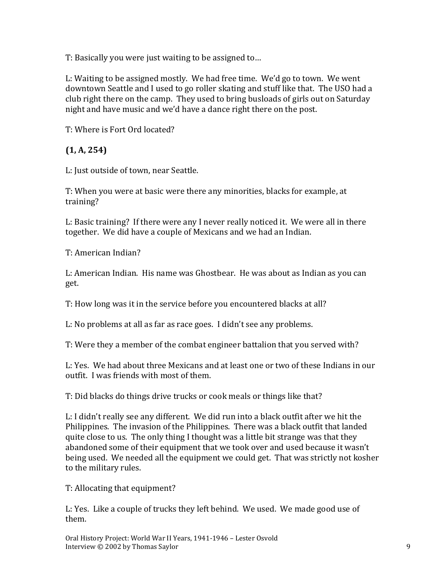T: Basically you were just waiting to be assigned to…

L: Waiting to be assigned mostly. We had free time. We'd go to town. We went downtown Seattle and I used to go roller skating and stuff like that. The USO had a club right there on the camp. They used to bring busloads of girls out on Saturday night and have music and we'd have a dance right there on the post.

T: Where is Fort Ord located?

## **(1, A, 254)**

L: Just outside of town, near Seattle.

T: When you were at basic were there any minorities, blacks for example, at training?

L: Basic training? If there were any I never really noticed it. We were all in there together. We did have a couple of Mexicans and we had an Indian.

T: American Indian?

L: American Indian. His name was Ghostbear. He was about as Indian as you can get.

T: How long was it in the service before you encountered blacks at all?

L: No problems at all as far as race goes. I didn't see any problems.

T: Were they a member of the combat engineer battalion that you served with?

L: Yes. We had about three Mexicans and at least one or two of these Indians in our outfit. I was friends with most of them.

T: Did blacks do things drive trucks or cook meals or things like that?

L: I didn't really see any different. We did run into a black outfit after we hit the Philippines. The invasion of the Philippines. There was a black outfit that landed quite close to us. The only thing I thought was a little bit strange was that they abandoned some of their equipment that we took over and used because it wasn't being used. We needed all the equipment we could get. That was strictly not kosher to the military rules.

T: Allocating that equipment?

L: Yes. Like a couple of trucks they left behind. We used. We made good use of them.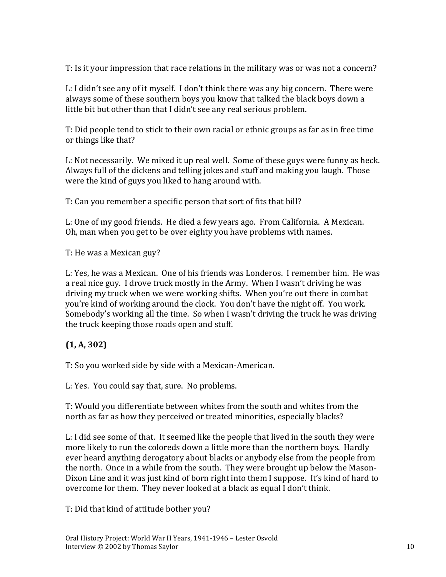T: Is it your impression that race relations in the military was or was not a concern?

L: I didn't see any of it myself. I don't think there was any big concern. There were always some of these southern boys you know that talked the black boys down a little bit but other than that I didn't see any real serious problem.

T: Did people tend to stick to their own racial or ethnic groups as far as in free time or things like that?

L: Not necessarily. We mixed it up real well. Some of these guys were funny as heck. Always full of the dickens and telling jokes and stuff and making you laugh. Those were the kind of guys you liked to hang around with.

T: Can you remember a specific person that sort of fits that bill?

L: One of my good friends. He died a few years ago. From California. A Mexican. Oh, man when you get to be over eighty you have problems with names.

T: He was a Mexican guy?

L: Yes, he was a Mexican. One of his friends was Londeros. I remember him. He was a real nice guy. I drove truck mostly in the Army. When I wasn't driving he was driving my truck when we were working shifts. When you're out there in combat you're kind of working around the clock. You don't have the night off. You work. Somebody's working all the time. So when I wasn't driving the truck he was driving the truck keeping those roads open and stuff.

### **(1, A, 302)**

T: So you worked side by side with a Mexican-American.

L: Yes. You could say that, sure. No problems.

T: Would you differentiate between whites from the south and whites from the north as far as how they perceived or treated minorities, especially blacks?

L: I did see some of that. It seemed like the people that lived in the south they were more likely to run the coloreds down a little more than the northern boys. Hardly ever heard anything derogatory about blacks or anybody else from the people from the north. Once in a while from the south. They were brought up below the Mason-Dixon Line and it was just kind of born right into them I suppose. It's kind of hard to overcome for them. They never looked at a black as equal I don't think.

T: Did that kind of attitude bother you?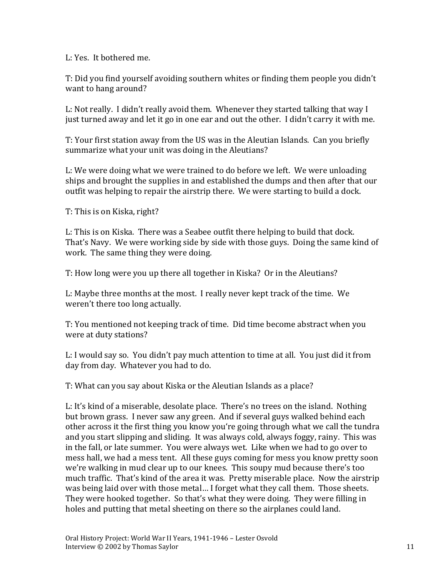L: Yes. It bothered me.

T: Did you find yourself avoiding southern whites or finding them people you didn't want to hang around?

L: Not really. I didn't really avoid them. Whenever they started talking that way I just turned away and let it go in one ear and out the other. I didn't carry it with me.

T: Your first station away from the US was in the Aleutian Islands. Can you briefly summarize what your unit was doing in the Aleutians?

L: We were doing what we were trained to do before we left. We were unloading ships and brought the supplies in and established the dumps and then after that our outfit was helping to repair the airstrip there. We were starting to build a dock.

T: This is on Kiska, right?

L: This is on Kiska. There was a Seabee outfit there helping to build that dock. That's Navy. We were working side by side with those guys. Doing the same kind of work. The same thing they were doing.

T: How long were you up there all together in Kiska? Or in the Aleutians?

L: Maybe three months at the most. I really never kept track of the time. We weren't there too long actually.

T: You mentioned not keeping track of time. Did time become abstract when you were at duty stations?

L: I would say so. You didn't pay much attention to time at all. You just did it from day from day. Whatever you had to do.

T: What can you say about Kiska or the Aleutian Islands as a place?

L: It's kind of a miserable, desolate place. There's no trees on the island. Nothing but brown grass. I never saw any green. And if several guys walked behind each other across it the first thing you know you're going through what we call the tundra and you start slipping and sliding. It was always cold, always foggy, rainy. This was in the fall, or late summer. You were always wet. Like when we had to go over to mess hall, we had a mess tent. All these guys coming for mess you know pretty soon we're walking in mud clear up to our knees. This soupy mud because there's too much traffic. That's kind of the area it was. Pretty miserable place. Now the airstrip was being laid over with those metal… I forget what they call them. Those sheets. They were hooked together. So that's what they were doing. They were filling in holes and putting that metal sheeting on there so the airplanes could land.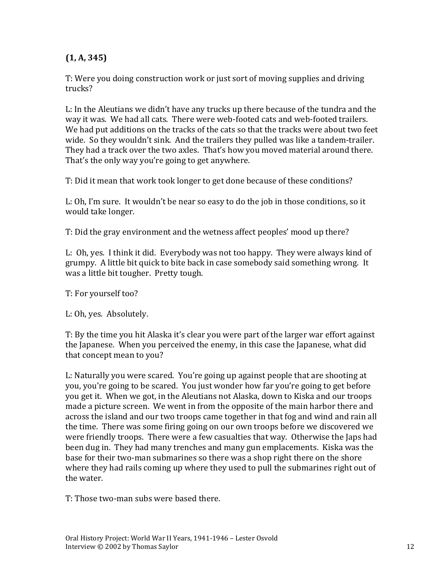# **(1, A, 345)**

T: Were you doing construction work or just sort of moving supplies and driving trucks?

L: In the Aleutians we didn't have any trucks up there because of the tundra and the way it was. We had all cats. There were web-footed cats and web-footed trailers. We had put additions on the tracks of the cats so that the tracks were about two feet wide. So they wouldn't sink. And the trailers they pulled was like a tandem-trailer. They had a track over the two axles. That's how you moved material around there. That's the only way you're going to get anywhere.

T: Did it mean that work took longer to get done because of these conditions?

L: Oh, I'm sure. It wouldn't be near so easy to do the job in those conditions, so it would take longer.

T: Did the gray environment and the wetness affect peoples' mood up there?

L: Oh, yes. I think it did. Everybody was not too happy. They were always kind of grumpy. A little bit quick to bite back in case somebody said something wrong. It was a little bit tougher. Pretty tough.

T: For yourself too?

L: Oh, yes. Absolutely.

T: By the time you hit Alaska it's clear you were part of the larger war effort against the Japanese. When you perceived the enemy, in this case the Japanese, what did that concept mean to you?

L: Naturally you were scared. You're going up against people that are shooting at you, you're going to be scared. You just wonder how far you're going to get before you get it. When we got, in the Aleutians not Alaska, down to Kiska and our troops made a picture screen. We went in from the opposite of the main harbor there and across the island and our two troops came together in that fog and wind and rain all the time. There was some firing going on our own troops before we discovered we were friendly troops. There were a few casualties that way. Otherwise the Japs had been dug in. They had many trenches and many gun emplacements. Kiska was the base for their two-man submarines so there was a shop right there on the shore where they had rails coming up where they used to pull the submarines right out of the water.

T: Those two-man subs were based there.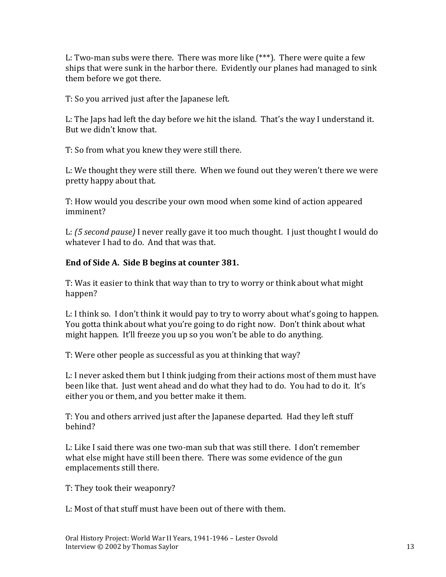L: Two-man subs were there. There was more like (\*\*\*). There were quite a few ships that were sunk in the harbor there. Evidently our planes had managed to sink them before we got there.

T: So you arrived just after the Japanese left.

L: The Japs had left the day before we hit the island. That's the way I understand it. But we didn't know that.

T: So from what you knew they were still there.

L: We thought they were still there. When we found out they weren't there we were pretty happy about that.

T: How would you describe your own mood when some kind of action appeared imminent?

L: *(5 second pause)* I never really gave it too much thought. I just thought I would do whatever I had to do. And that was that.

### **End of Side A. Side B begins at counter 381.**

T: Was it easier to think that way than to try to worry or think about what might happen?

L: I think so. I don't think it would pay to try to worry about what's going to happen. You gotta think about what you're going to do right now. Don't think about what might happen. It'll freeze you up so you won't be able to do anything.

T: Were other people as successful as you at thinking that way?

L: I never asked them but I think judging from their actions most of them must have been like that. Just went ahead and do what they had to do. You had to do it. It's either you or them, and you better make it them.

T: You and others arrived just after the Japanese departed. Had they left stuff behind?

L: Like I said there was one two-man sub that was still there. I don't remember what else might have still been there. There was some evidence of the gun emplacements still there.

T: They took their weaponry?

L: Most of that stuff must have been out of there with them.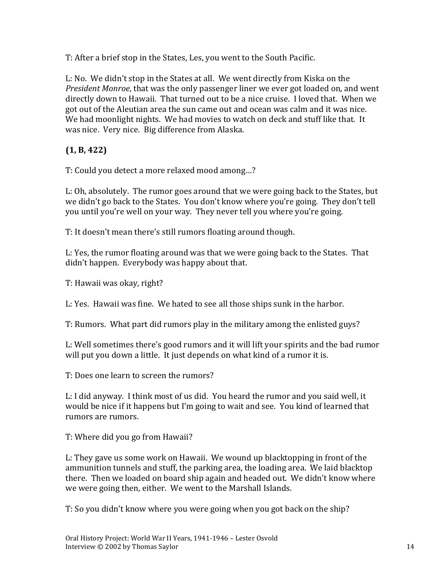T: After a brief stop in the States, Les, you went to the South Pacific.

L: No. We didn't stop in the States at all. We went directly from Kiska on the *President Monroe*, that was the only passenger liner we ever got loaded on, and went directly down to Hawaii. That turned out to be a nice cruise. I loved that. When we got out of the Aleutian area the sun came out and ocean was calm and it was nice. We had moonlight nights. We had movies to watch on deck and stuff like that. It was nice. Very nice. Big difference from Alaska.

**(1, B, 422)**

T: Could you detect a more relaxed mood among…?

L: Oh, absolutely. The rumor goes around that we were going back to the States, but we didn't go back to the States. You don't know where you're going. They don't tell you until you're well on your way. They never tell you where you're going.

T: It doesn't mean there's still rumors floating around though.

L: Yes, the rumor floating around was that we were going back to the States. That didn't happen. Everybody was happy about that.

T: Hawaii was okay, right?

L: Yes. Hawaii was fine. We hated to see all those ships sunk in the harbor.

T: Rumors. What part did rumors play in the military among the enlisted guys?

L: Well sometimes there's good rumors and it will lift your spirits and the bad rumor will put you down a little. It just depends on what kind of a rumor it is.

T: Does one learn to screen the rumors?

L: I did anyway. I think most of us did. You heard the rumor and you said well, it would be nice if it happens but I'm going to wait and see. You kind of learned that rumors are rumors.

T: Where did you go from Hawaii?

L: They gave us some work on Hawaii. We wound up blacktopping in front of the ammunition tunnels and stuff, the parking area, the loading area. We laid blacktop there. Then we loaded on board ship again and headed out. We didn't know where we were going then, either. We went to the Marshall Islands.

T: So you didn't know where you were going when you got back on the ship?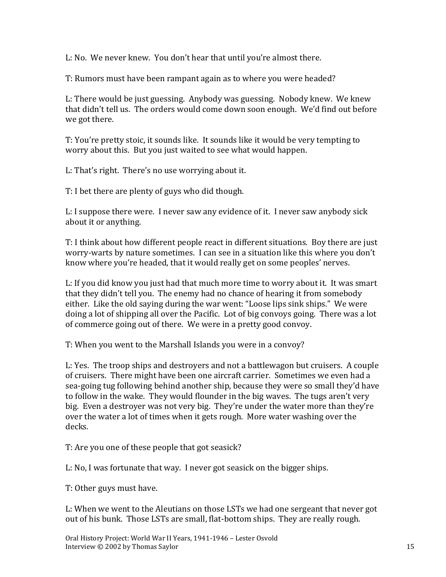L: No. We never knew. You don't hear that until you're almost there.

T: Rumors must have been rampant again as to where you were headed?

L: There would be just guessing. Anybody was guessing. Nobody knew. We knew that didn't tell us. The orders would come down soon enough. We'd find out before we got there.

T: You're pretty stoic, it sounds like. It sounds like it would be very tempting to worry about this. But you just waited to see what would happen.

L: That's right. There's no use worrying about it.

T: I bet there are plenty of guys who did though.

L: I suppose there were. I never saw any evidence of it. I never saw anybody sick about it or anything.

T: I think about how different people react in different situations. Boy there are just worry-warts by nature sometimes. I can see in a situation like this where you don't know where you're headed, that it would really get on some peoples' nerves.

L: If you did know you just had that much more time to worry about it. It was smart that they didn't tell you. The enemy had no chance of hearing it from somebody either. Like the old saying during the war went: "Loose lips sink ships." We were doing a lot of shipping all over the Pacific. Lot of big convoys going. There was a lot of commerce going out of there. We were in a pretty good convoy.

T: When you went to the Marshall Islands you were in a convoy?

L: Yes. The troop ships and destroyers and not a battlewagon but cruisers. A couple of cruisers. There might have been one aircraft carrier. Sometimes we even had a sea-going tug following behind another ship, because they were so small they'd have to follow in the wake. They would flounder in the big waves. The tugs aren't very big. Even a destroyer was not very big. They're under the water more than they're over the water a lot of times when it gets rough. More water washing over the decks.

T: Are you one of these people that got seasick?

L: No, I was fortunate that way. I never got seasick on the bigger ships.

T: Other guys must have.

L: When we went to the Aleutians on those LSTs we had one sergeant that never got out of his bunk. Those LSTs are small, flat-bottom ships. They are really rough.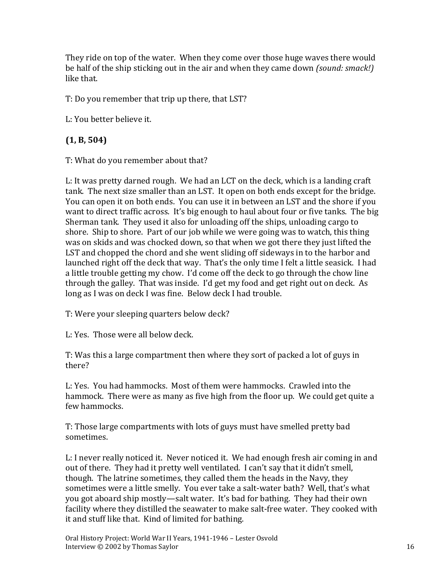They ride on top of the water. When they come over those huge waves there would be half of the ship sticking out in the air and when they came down *(sound: smack!)* like that.

T: Do you remember that trip up there, that LST?

L: You better believe it.

# **(1, B, 504)**

T: What do you remember about that?

L: It was pretty darned rough. We had an LCT on the deck, which is a landing craft tank. The next size smaller than an LST. It open on both ends except for the bridge. You can open it on both ends. You can use it in between an LST and the shore if you want to direct traffic across. It's big enough to haul about four or five tanks. The big Sherman tank. They used it also for unloading off the ships, unloading cargo to shore. Ship to shore. Part of our job while we were going was to watch, this thing was on skids and was chocked down, so that when we got there they just lifted the LST and chopped the chord and she went sliding off sideways in to the harbor and launched right off the deck that way. That's the only time I felt a little seasick. I had a little trouble getting my chow. I'd come off the deck to go through the chow line through the galley. That was inside. I'd get my food and get right out on deck. As long as I was on deck I was fine. Below deck I had trouble.

T: Were your sleeping quarters below deck?

L: Yes. Those were all below deck.

T: Was this a large compartment then where they sort of packed a lot of guys in there?

L: Yes. You had hammocks. Most of them were hammocks. Crawled into the hammock. There were as many as five high from the floor up. We could get quite a few hammocks.

T: Those large compartments with lots of guys must have smelled pretty bad sometimes.

L: I never really noticed it. Never noticed it. We had enough fresh air coming in and out of there. They had it pretty well ventilated. I can't say that it didn't smell, though. The latrine sometimes, they called them the heads in the Navy, they sometimes were a little smelly. You ever take a salt-water bath? Well, that's what you got aboard ship mostly—salt water. It's bad for bathing. They had their own facility where they distilled the seawater to make salt-free water. They cooked with it and stuff like that. Kind of limited for bathing.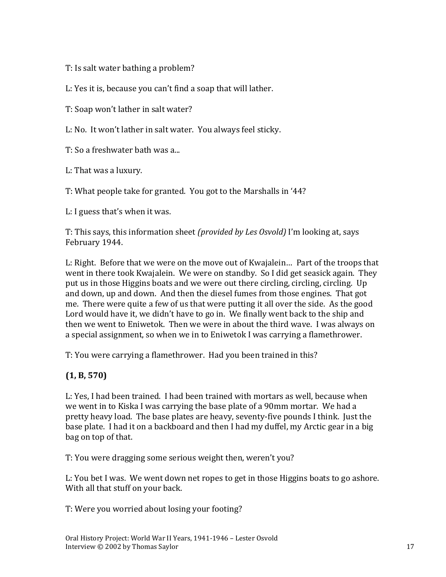T: Is salt water bathing a problem?

L: Yes it is, because you can't find a soap that will lather.

T: Soap won't lather in salt water?

L: No. It won't lather in salt water. You always feel sticky.

T: So a freshwater bath was a...

L: That was a luxury.

T: What people take for granted. You got to the Marshalls in '44?

L: I guess that's when it was.

T: This says, this information sheet *(provided by Les Osvold)* I'm looking at, says February 1944.

L: Right. Before that we were on the move out of Kwajalein… Part of the troops that went in there took Kwajalein. We were on standby. So I did get seasick again. They put us in those Higgins boats and we were out there circling, circling, circling. Up and down, up and down. And then the diesel fumes from those engines. That got me. There were quite a few of us that were putting it all over the side. As the good Lord would have it, we didn't have to go in. We finally went back to the ship and then we went to Eniwetok. Then we were in about the third wave. I was always on a special assignment, so when we in to Eniwetok I was carrying a flamethrower.

T: You were carrying a flamethrower. Had you been trained in this?

### **(1, B, 570)**

L: Yes, I had been trained. I had been trained with mortars as well, because when we went in to Kiska I was carrying the base plate of a 90mm mortar. We had a pretty heavy load. The base plates are heavy, seventy-five pounds I think. Just the base plate. I had it on a backboard and then I had my duffel, my Arctic gear in a big bag on top of that.

T: You were dragging some serious weight then, weren't you?

L: You bet I was. We went down net ropes to get in those Higgins boats to go ashore. With all that stuff on your back.

T: Were you worried about losing your footing?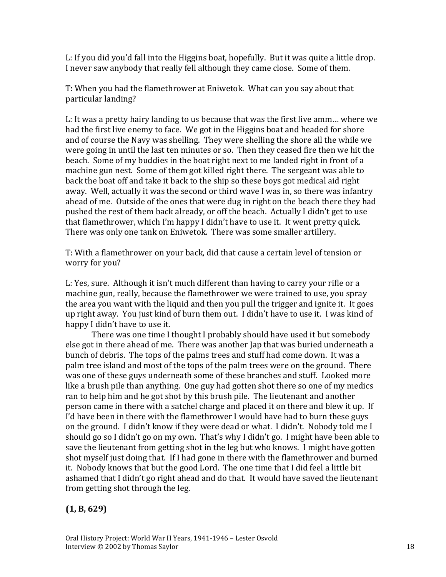L: If you did you'd fall into the Higgins boat, hopefully. But it was quite a little drop. I never saw anybody that really fell although they came close. Some of them.

T: When you had the flamethrower at Eniwetok. What can you say about that particular landing?

L: It was a pretty hairy landing to us because that was the first live amm… where we had the first live enemy to face. We got in the Higgins boat and headed for shore and of course the Navy was shelling. They were shelling the shore all the while we were going in until the last ten minutes or so. Then they ceased fire then we hit the beach. Some of my buddies in the boat right next to me landed right in front of a machine gun nest. Some of them got killed right there. The sergeant was able to back the boat off and take it back to the ship so these boys got medical aid right away. Well, actually it was the second or third wave I was in, so there was infantry ahead of me. Outside of the ones that were dug in right on the beach there they had pushed the rest of them back already, or off the beach. Actually I didn't get to use that flamethrower, which I'm happy I didn't have to use it. It went pretty quick. There was only one tank on Eniwetok. There was some smaller artillery.

T: With a flamethrower on your back, did that cause a certain level of tension or worry for you?

L: Yes, sure. Although it isn't much different than having to carry your rifle or a machine gun, really, because the flamethrower we were trained to use, you spray the area you want with the liquid and then you pull the trigger and ignite it. It goes up right away. You just kind of burn them out. I didn't have to use it. I was kind of happy I didn't have to use it.

There was one time I thought I probably should have used it but somebody else got in there ahead of me. There was another Jap that was buried underneath a bunch of debris. The tops of the palms trees and stuff had come down. It was a palm tree island and most of the tops of the palm trees were on the ground. There was one of these guys underneath some of these branches and stuff. Looked more like a brush pile than anything. One guy had gotten shot there so one of my medics ran to help him and he got shot by this brush pile. The lieutenant and another person came in there with a satchel charge and placed it on there and blew it up. If I'd have been in there with the flamethrower I would have had to burn these guys on the ground. I didn't know if they were dead or what. I didn't. Nobody told me I should go so I didn't go on my own. That's why I didn't go. I might have been able to save the lieutenant from getting shot in the leg but who knows. I might have gotten shot myself just doing that. If I had gone in there with the flamethrower and burned it. Nobody knows that but the good Lord. The one time that I did feel a little bit ashamed that I didn't go right ahead and do that. It would have saved the lieutenant from getting shot through the leg.

### **(1, B, 629)**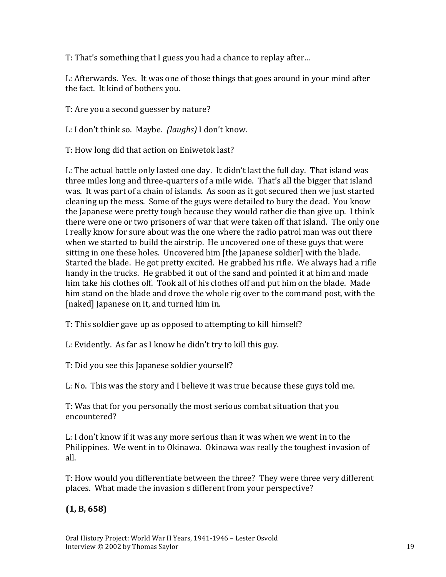T: That's something that I guess you had a chance to replay after…

L: Afterwards. Yes. It was one of those things that goes around in your mind after the fact. It kind of bothers you.

T: Are you a second guesser by nature?

L: I don't think so. Maybe. *(laughs)* I don't know.

T: How long did that action on Eniwetok last?

L: The actual battle only lasted one day. It didn't last the full day. That island was three miles long and three-quarters of a mile wide. That's all the bigger that island was. It was part of a chain of islands. As soon as it got secured then we just started cleaning up the mess. Some of the guys were detailed to bury the dead. You know the Japanese were pretty tough because they would rather die than give up. I think there were one or two prisoners of war that were taken off that island. The only one I really know for sure about was the one where the radio patrol man was out there when we started to build the airstrip. He uncovered one of these guys that were sitting in one these holes. Uncovered him [the Japanese soldier] with the blade. Started the blade. He got pretty excited. He grabbed his rifle. We always had a rifle handy in the trucks. He grabbed it out of the sand and pointed it at him and made him take his clothes off. Took all of his clothes off and put him on the blade. Made him stand on the blade and drove the whole rig over to the command post, with the [naked] Japanese on it, and turned him in.

T: This soldier gave up as opposed to attempting to kill himself?

L: Evidently. As far as I know he didn't try to kill this guy.

T: Did you see this Japanese soldier yourself?

L: No. This was the story and I believe it was true because these guys told me.

T: Was that for you personally the most serious combat situation that you encountered?

L: I don't know if it was any more serious than it was when we went in to the Philippines. We went in to Okinawa. Okinawa was really the toughest invasion of all.

T: How would you differentiate between the three? They were three very different places. What made the invasion s different from your perspective?

**(1, B, 658)**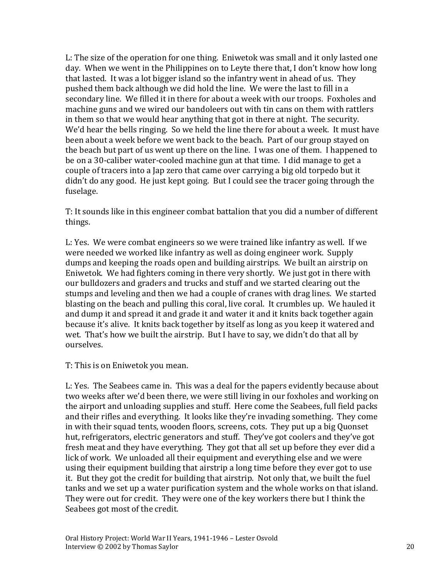L: The size of the operation for one thing. Eniwetok was small and it only lasted one day. When we went in the Philippines on to Leyte there that, I don't know how long that lasted. It was a lot bigger island so the infantry went in ahead of us. They pushed them back although we did hold the line. We were the last to fill in a secondary line. We filled it in there for about a week with our troops. Foxholes and machine guns and we wired our bandoleers out with tin cans on them with rattlers in them so that we would hear anything that got in there at night. The security. We'd hear the bells ringing. So we held the line there for about a week. It must have been about a week before we went back to the beach. Part of our group stayed on the beach but part of us went up there on the line. I was one of them. I happened to be on a 30-caliber water-cooled machine gun at that time. I did manage to get a couple of tracers into a Jap zero that came over carrying a big old torpedo but it didn't do any good. He just kept going. But I could see the tracer going through the fuselage.

T: It sounds like in this engineer combat battalion that you did a number of different things.

L: Yes. We were combat engineers so we were trained like infantry as well. If we were needed we worked like infantry as well as doing engineer work. Supply dumps and keeping the roads open and building airstrips. We built an airstrip on Eniwetok. We had fighters coming in there very shortly. We just got in there with our bulldozers and graders and trucks and stuff and we started clearing out the stumps and leveling and then we had a couple of cranes with drag lines. We started blasting on the beach and pulling this coral, live coral. It crumbles up. We hauled it and dump it and spread it and grade it and water it and it knits back together again because it's alive. It knits back together by itself as long as you keep it watered and wet. That's how we built the airstrip. But I have to say, we didn't do that all by ourselves.

T: This is on Eniwetok you mean.

L: Yes. The Seabees came in. This was a deal for the papers evidently because about two weeks after we'd been there, we were still living in our foxholes and working on the airport and unloading supplies and stuff. Here come the Seabees, full field packs and their rifles and everything. It looks like they're invading something. They come in with their squad tents, wooden floors, screens, cots. They put up a big Quonset hut, refrigerators, electric generators and stuff. They've got coolers and they've got fresh meat and they have everything. They got that all set up before they ever did a lick of work. We unloaded all their equipment and everything else and we were using their equipment building that airstrip a long time before they ever got to use it. But they got the credit for building that airstrip. Not only that, we built the fuel tanks and we set up a water purification system and the whole works on that island. They were out for credit. They were one of the key workers there but I think the Seabees got most of the credit.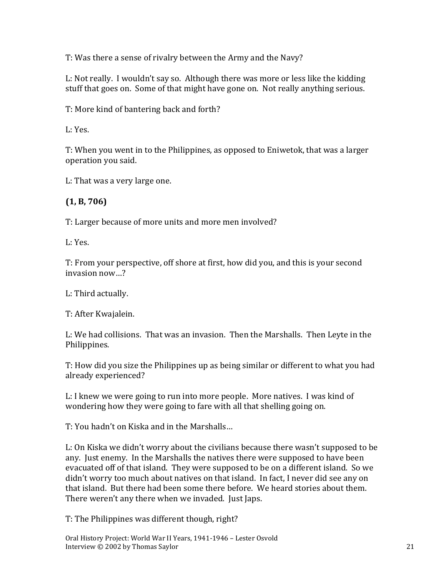T: Was there a sense of rivalry between the Army and the Navy?

L: Not really. I wouldn't say so. Although there was more or less like the kidding stuff that goes on. Some of that might have gone on. Not really anything serious.

T: More kind of bantering back and forth?

L: Yes.

T: When you went in to the Philippines, as opposed to Eniwetok, that was a larger operation you said.

L: That was a very large one.

## **(1, B, 706)**

T: Larger because of more units and more men involved?

L: Yes.

T: From your perspective, off shore at first, how did you, and this is your second invasion now…?

L: Third actually.

T: After Kwajalein.

L: We had collisions. That was an invasion. Then the Marshalls. Then Leyte in the Philippines.

T: How did you size the Philippines up as being similar or different to what you had already experienced?

L: I knew we were going to run into more people. More natives. I was kind of wondering how they were going to fare with all that shelling going on.

T: You hadn't on Kiska and in the Marshalls…

L: On Kiska we didn't worry about the civilians because there wasn't supposed to be any. Just enemy. In the Marshalls the natives there were supposed to have been evacuated off of that island. They were supposed to be on a different island. So we didn't worry too much about natives on that island. In fact, I never did see any on that island. But there had been some there before. We heard stories about them. There weren't any there when we invaded. Just Japs.

T: The Philippines was different though, right?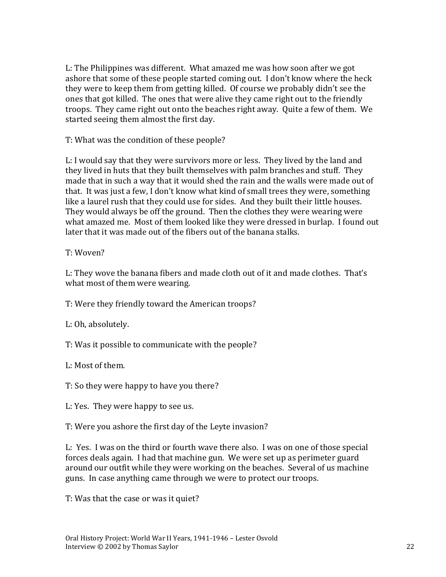L: The Philippines was different. What amazed me was how soon after we got ashore that some of these people started coming out. I don't know where the heck they were to keep them from getting killed. Of course we probably didn't see the ones that got killed. The ones that were alive they came right out to the friendly troops. They came right out onto the beaches right away. Quite a few of them. We started seeing them almost the first day.

T: What was the condition of these people?

L: I would say that they were survivors more or less. They lived by the land and they lived in huts that they built themselves with palm branches and stuff. They made that in such a way that it would shed the rain and the walls were made out of that. It was just a few, I don't know what kind of small trees they were, something like a laurel rush that they could use for sides. And they built their little houses. They would always be off the ground. Then the clothes they were wearing were what amazed me. Most of them looked like they were dressed in burlap. I found out later that it was made out of the fibers out of the banana stalks.

### T: Woven?

L: They wove the banana fibers and made cloth out of it and made clothes. That's what most of them were wearing.

T: Were they friendly toward the American troops?

L: Oh, absolutely.

T: Was it possible to communicate with the people?

L: Most of them.

T: So they were happy to have you there?

L: Yes. They were happy to see us.

T: Were you ashore the first day of the Leyte invasion?

L: Yes. I was on the third or fourth wave there also. I was on one of those special forces deals again. I had that machine gun. We were set up as perimeter guard around our outfit while they were working on the beaches. Several of us machine guns. In case anything came through we were to protect our troops.

T: Was that the case or was it quiet?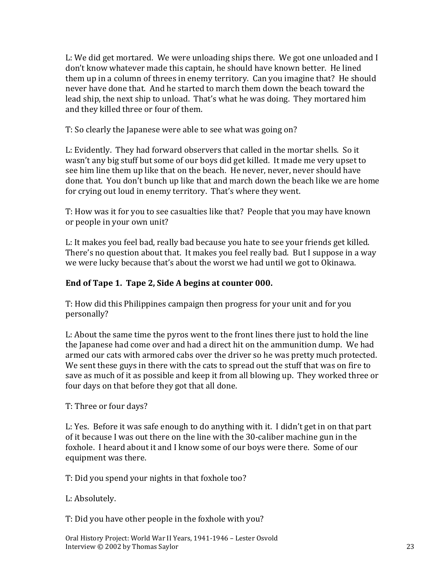L: We did get mortared. We were unloading ships there. We got one unloaded and I don't know whatever made this captain, he should have known better. He lined them up in a column of threes in enemy territory. Can you imagine that? He should never have done that. And he started to march them down the beach toward the lead ship, the next ship to unload. That's what he was doing. They mortared him and they killed three or four of them.

T: So clearly the Japanese were able to see what was going on?

L: Evidently. They had forward observers that called in the mortar shells. So it wasn't any big stuff but some of our boys did get killed. It made me very upset to see him line them up like that on the beach. He never, never, never should have done that. You don't bunch up like that and march down the beach like we are home for crying out loud in enemy territory. That's where they went.

T: How was it for you to see casualties like that? People that you may have known or people in your own unit?

L: It makes you feel bad, really bad because you hate to see your friends get killed. There's no question about that. It makes you feel really bad. But I suppose in a way we were lucky because that's about the worst we had until we got to Okinawa.

### **End of Tape 1. Tape 2, Side A begins at counter 000.**

T: How did this Philippines campaign then progress for your unit and for you personally?

L: About the same time the pyros went to the front lines there just to hold the line the Japanese had come over and had a direct hit on the ammunition dump. We had armed our cats with armored cabs over the driver so he was pretty much protected. We sent these guys in there with the cats to spread out the stuff that was on fire to save as much of it as possible and keep it from all blowing up. They worked three or four days on that before they got that all done.

T: Three or four days?

L: Yes. Before it was safe enough to do anything with it. I didn't get in on that part of it because I was out there on the line with the 30-caliber machine gun in the foxhole. I heard about it and I know some of our boys were there. Some of our equipment was there.

T: Did you spend your nights in that foxhole too?

L: Absolutely.

T: Did you have other people in the foxhole with you?

Oral History Project: World War II Years, 1941-1946 – Lester Osvold Interview © 2002 by Thomas Saylor 23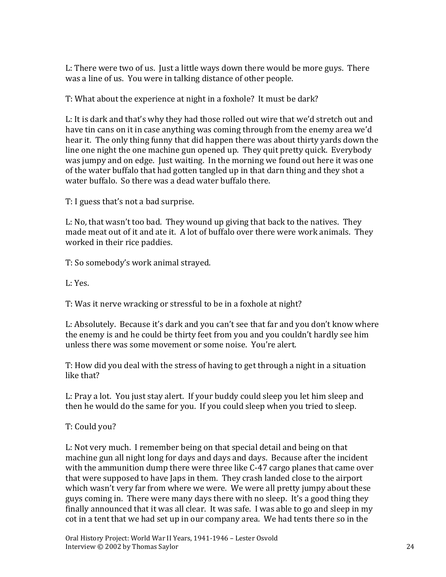L: There were two of us. Just a little ways down there would be more guys. There was a line of us. You were in talking distance of other people.

T: What about the experience at night in a foxhole? It must be dark?

L: It is dark and that's why they had those rolled out wire that we'd stretch out and have tin cans on it in case anything was coming through from the enemy area we'd hear it. The only thing funny that did happen there was about thirty yards down the line one night the one machine gun opened up. They quit pretty quick. Everybody was jumpy and on edge. Just waiting. In the morning we found out here it was one of the water buffalo that had gotten tangled up in that darn thing and they shot a water buffalo. So there was a dead water buffalo there.

T: I guess that's not a bad surprise.

L: No, that wasn't too bad. They wound up giving that back to the natives. They made meat out of it and ate it. A lot of buffalo over there were work animals. They worked in their rice paddies.

T: So somebody's work animal strayed.

L: Yes.

T: Was it nerve wracking or stressful to be in a foxhole at night?

L: Absolutely. Because it's dark and you can't see that far and you don't know where the enemy is and he could be thirty feet from you and you couldn't hardly see him unless there was some movement or some noise. You're alert.

T: How did you deal with the stress of having to get through a night in a situation like that?

L: Pray a lot. You just stay alert. If your buddy could sleep you let him sleep and then he would do the same for you. If you could sleep when you tried to sleep.

T: Could you?

L: Not very much. I remember being on that special detail and being on that machine gun all night long for days and days and days. Because after the incident with the ammunition dump there were three like C-47 cargo planes that came over that were supposed to have Japs in them. They crash landed close to the airport which wasn't very far from where we were. We were all pretty jumpy about these guys coming in. There were many days there with no sleep. It's a good thing they finally announced that it was all clear. It was safe. I was able to go and sleep in my cot in a tent that we had set up in our company area. We had tents there so in the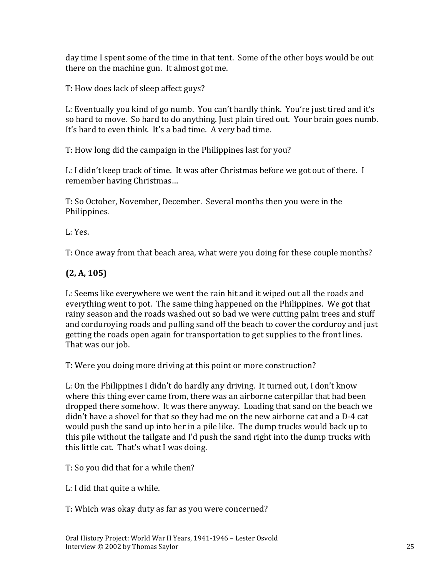day time I spent some of the time in that tent. Some of the other boys would be out there on the machine gun. It almost got me.

T: How does lack of sleep affect guys?

L: Eventually you kind of go numb. You can't hardly think. You're just tired and it's so hard to move. So hard to do anything. Just plain tired out. Your brain goes numb. It's hard to even think. It's a bad time. A very bad time.

T: How long did the campaign in the Philippines last for you?

L: I didn't keep track of time. It was after Christmas before we got out of there. I remember having Christmas…

T: So October, November, December. Several months then you were in the Philippines.

L: Yes.

T: Once away from that beach area, what were you doing for these couple months?

# **(2, A, 105)**

L: Seems like everywhere we went the rain hit and it wiped out all the roads and everything went to pot. The same thing happened on the Philippines. We got that rainy season and the roads washed out so bad we were cutting palm trees and stuff and corduroying roads and pulling sand off the beach to cover the corduroy and just getting the roads open again for transportation to get supplies to the front lines. That was our job.

T: Were you doing more driving at this point or more construction?

L: On the Philippines I didn't do hardly any driving. It turned out, I don't know where this thing ever came from, there was an airborne caterpillar that had been dropped there somehow. It was there anyway. Loading that sand on the beach we didn't have a shovel for that so they had me on the new airborne cat and a D-4 cat would push the sand up into her in a pile like. The dump trucks would back up to this pile without the tailgate and I'd push the sand right into the dump trucks with this little cat. That's what I was doing.

T: So you did that for a while then?

L: I did that quite a while.

T: Which was okay duty as far as you were concerned?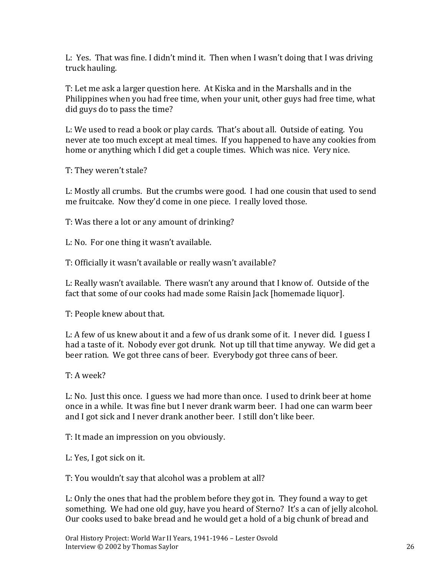L: Yes. That was fine. I didn't mind it. Then when I wasn't doing that I was driving truck hauling.

T: Let me ask a larger question here. At Kiska and in the Marshalls and in the Philippines when you had free time, when your unit, other guys had free time, what did guys do to pass the time?

L: We used to read a book or play cards. That's about all. Outside of eating. You never ate too much except at meal times. If you happened to have any cookies from home or anything which I did get a couple times. Which was nice. Very nice.

T: They weren't stale?

L: Mostly all crumbs. But the crumbs were good. I had one cousin that used to send me fruitcake. Now they'd come in one piece. I really loved those.

T: Was there a lot or any amount of drinking?

L: No. For one thing it wasn't available.

T: Officially it wasn't available or really wasn't available?

L: Really wasn't available. There wasn't any around that I know of. Outside of the fact that some of our cooks had made some Raisin Jack [homemade liquor].

T: People knew about that.

L: A few of us knew about it and a few of us drank some of it. I never did. I guess I had a taste of it. Nobody ever got drunk. Not up till that time anyway. We did get a beer ration. We got three cans of beer. Everybody got three cans of beer.

T: A week?

L: No. Just this once. I guess we had more than once. I used to drink beer at home once in a while. It was fine but I never drank warm beer. I had one can warm beer and I got sick and I never drank another beer. I still don't like beer.

T: It made an impression on you obviously.

L: Yes, I got sick on it.

T: You wouldn't say that alcohol was a problem at all?

L: Only the ones that had the problem before they got in. They found a way to get something. We had one old guy, have you heard of Sterno? It's a can of jelly alcohol. Our cooks used to bake bread and he would get a hold of a big chunk of bread and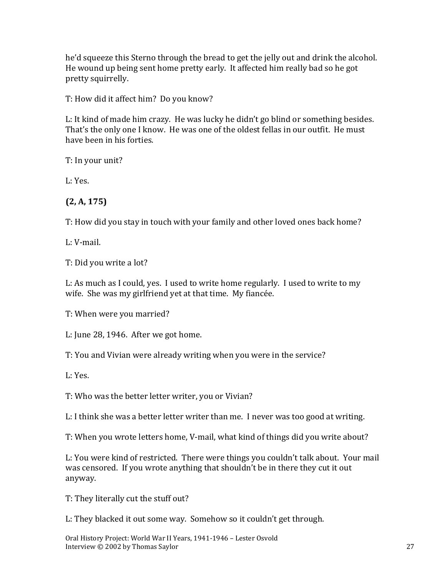he'd squeeze this Sterno through the bread to get the jelly out and drink the alcohol. He wound up being sent home pretty early. It affected him really bad so he got pretty squirrelly.

T: How did it affect him? Do you know?

L: It kind of made him crazy. He was lucky he didn't go blind or something besides. That's the only one I know. He was one of the oldest fellas in our outfit. He must have been in his forties.

T: In your unit?

L: Yes.

# **(2, A, 175)**

T: How did you stay in touch with your family and other loved ones back home?

L: V-mail.

T: Did you write a lot?

L: As much as I could, yes. I used to write home regularly. I used to write to my wife. She was my girlfriend yet at that time. My fiancée.

T: When were you married?

L: June 28, 1946. After we got home.

T: You and Vivian were already writing when you were in the service?

L: Yes.

T: Who was the better letter writer, you or Vivian?

L: I think she was a better letter writer than me. I never was too good at writing.

T: When you wrote letters home, V-mail, what kind of things did you write about?

L: You were kind of restricted. There were things you couldn't talk about. Your mail was censored. If you wrote anything that shouldn't be in there they cut it out anyway.

T: They literally cut the stuff out?

L: They blacked it out some way. Somehow so it couldn't get through.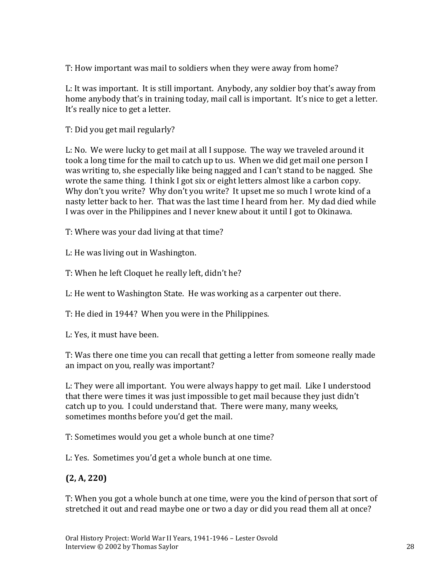T: How important was mail to soldiers when they were away from home?

L: It was important. It is still important. Anybody, any soldier boy that's away from home anybody that's in training today, mail call is important. It's nice to get a letter. It's really nice to get a letter.

T: Did you get mail regularly?

L: No. We were lucky to get mail at all I suppose. The way we traveled around it took a long time for the mail to catch up to us. When we did get mail one person I was writing to, she especially like being nagged and I can't stand to be nagged. She wrote the same thing. I think I got six or eight letters almost like a carbon copy. Why don't you write? Why don't you write? It upset me so much I wrote kind of a nasty letter back to her. That was the last time I heard from her. My dad died while I was over in the Philippines and I never knew about it until I got to Okinawa.

T: Where was your dad living at that time?

L: He was living out in Washington.

T: When he left Cloquet he really left, didn't he?

L: He went to Washington State. He was working as a carpenter out there.

T: He died in 1944? When you were in the Philippines.

L: Yes, it must have been.

T: Was there one time you can recall that getting a letter from someone really made an impact on you, really was important?

L: They were all important. You were always happy to get mail. Like I understood that there were times it was just impossible to get mail because they just didn't catch up to you. I could understand that. There were many, many weeks, sometimes months before you'd get the mail.

T: Sometimes would you get a whole bunch at one time?

L: Yes. Sometimes you'd get a whole bunch at one time.

# **(2, A, 220)**

T: When you got a whole bunch at one time, were you the kind of person that sort of stretched it out and read maybe one or two a day or did you read them all at once?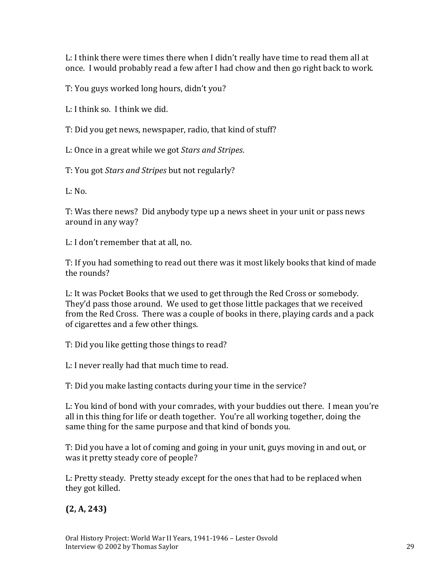L: I think there were times there when I didn't really have time to read them all at once. I would probably read a few after I had chow and then go right back to work.

T: You guys worked long hours, didn't you?

L: I think so. I think we did.

T: Did you get news, newspaper, radio, that kind of stuff?

L: Once in a great while we got *Stars and Stripes*.

T: You got *Stars and Stripes* but not regularly?

 $L: No.$ 

T: Was there news? Did anybody type up a news sheet in your unit or pass news around in any way?

L: I don't remember that at all, no.

T: If you had something to read out there was it most likely books that kind of made the rounds?

L: It was Pocket Books that we used to get through the Red Cross or somebody. They'd pass those around. We used to get those little packages that we received from the Red Cross. There was a couple of books in there, playing cards and a pack of cigarettes and a few other things.

T: Did you like getting those things to read?

L: I never really had that much time to read.

T: Did you make lasting contacts during your time in the service?

L: You kind of bond with your comrades, with your buddies out there. I mean you're all in this thing for life or death together. You're all working together, doing the same thing for the same purpose and that kind of bonds you.

T: Did you have a lot of coming and going in your unit, guys moving in and out, or was it pretty steady core of people?

L: Pretty steady. Pretty steady except for the ones that had to be replaced when they got killed.

**(2, A, 243)**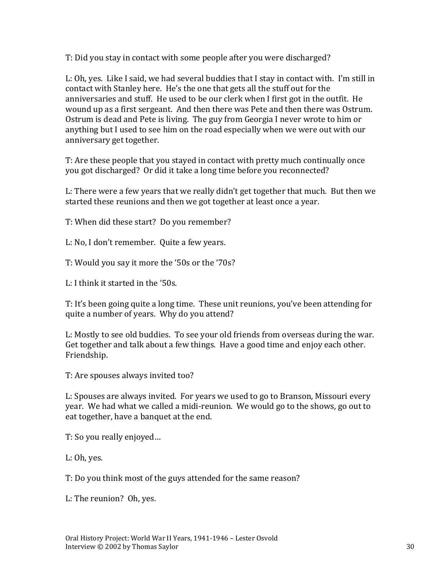T: Did you stay in contact with some people after you were discharged?

L: Oh, yes. Like I said, we had several buddies that I stay in contact with. I'm still in contact with Stanley here. He's the one that gets all the stuff out for the anniversaries and stuff. He used to be our clerk when I first got in the outfit. He wound up as a first sergeant. And then there was Pete and then there was Ostrum. Ostrum is dead and Pete is living. The guy from Georgia I never wrote to him or anything but I used to see him on the road especially when we were out with our anniversary get together.

T: Are these people that you stayed in contact with pretty much continually once you got discharged? Or did it take a long time before you reconnected?

L: There were a few years that we really didn't get together that much. But then we started these reunions and then we got together at least once a year.

T: When did these start? Do you remember?

L: No, I don't remember. Quite a few years.

T: Would you say it more the '50s or the '70s?

L: I think it started in the '50s.

T: It's been going quite a long time. These unit reunions, you've been attending for quite a number of years. Why do you attend?

L: Mostly to see old buddies. To see your old friends from overseas during the war. Get together and talk about a few things. Have a good time and enjoy each other. Friendship.

T: Are spouses always invited too?

L: Spouses are always invited. For years we used to go to Branson, Missouri every year. We had what we called a midi-reunion. We would go to the shows, go out to eat together, have a banquet at the end.

T: So you really enjoyed…

L: Oh, yes.

T: Do you think most of the guys attended for the same reason?

L: The reunion? Oh, yes.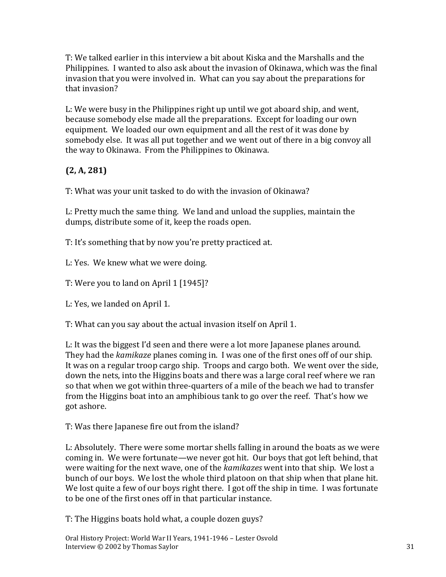T: We talked earlier in this interview a bit about Kiska and the Marshalls and the Philippines. I wanted to also ask about the invasion of Okinawa, which was the final invasion that you were involved in. What can you say about the preparations for that invasion?

L: We were busy in the Philippines right up until we got aboard ship, and went, because somebody else made all the preparations. Except for loading our own equipment. We loaded our own equipment and all the rest of it was done by somebody else. It was all put together and we went out of there in a big convoy all the way to Okinawa. From the Philippines to Okinawa.

# **(2, A, 281)**

T: What was your unit tasked to do with the invasion of Okinawa?

L: Pretty much the same thing. We land and unload the supplies, maintain the dumps, distribute some of it, keep the roads open.

T: It's something that by now you're pretty practiced at.

L: Yes. We knew what we were doing.

T: Were you to land on April 1 [1945]?

L: Yes, we landed on April 1.

T: What can you say about the actual invasion itself on April 1.

L: It was the biggest I'd seen and there were a lot more Japanese planes around. They had the *kamikaze* planes coming in. I was one of the first ones off of our ship. It was on a regular troop cargo ship. Troops and cargo both. We went over the side, down the nets, into the Higgins boats and there was a large coral reef where we ran so that when we got within three-quarters of a mile of the beach we had to transfer from the Higgins boat into an amphibious tank to go over the reef. That's how we got ashore.

T: Was there Japanese fire out from the island?

L: Absolutely. There were some mortar shells falling in around the boats as we were coming in. We were fortunate—we never got hit. Our boys that got left behind, that were waiting for the next wave, one of the *kamikazes* went into that ship. We lost a bunch of our boys. We lost the whole third platoon on that ship when that plane hit. We lost quite a few of our boys right there. I got off the ship in time. I was fortunate to be one of the first ones off in that particular instance.

T: The Higgins boats hold what, a couple dozen guys?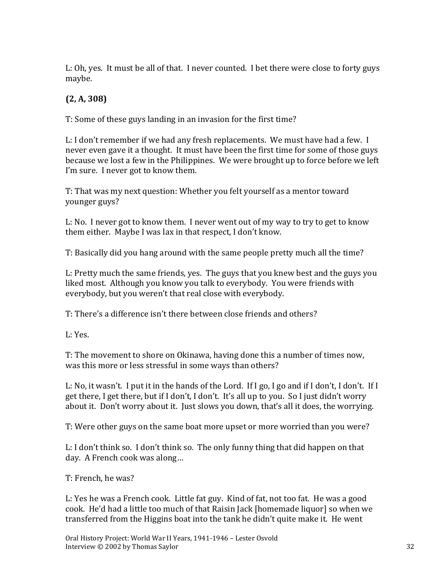L: Oh, yes. It must be all of that. I never counted. I bet there were close to forty guys maybe.

# **(2, A, 308)**

T: Some of these guys landing in an invasion for the first time?

L: I don't remember if we had any fresh replacements. We must have had a few. I never even gave it a thought. It must have been the first time for some of those guys because we lost a few in the Philippines. We were brought up to force before we left I'm sure. I never got to know them.

T: That was my next question: Whether you felt yourself as a mentor toward younger guys?

L: No. I never got to know them. I never went out of my way to try to get to know them either. Maybe I was lax in that respect, I don't know.

T: Basically did you hang around with the same people pretty much all the time?

L: Pretty much the same friends, yes. The guys that you knew best and the guys you liked most. Although you know you talk to everybody. You were friends with everybody, but you weren't that real close with everybody.

T: There's a difference isn't there between close friends and others?

L: Yes.

T: The movement to shore on Okinawa, having done this a number of times now, was this more or less stressful in some ways than others?

L: No, it wasn't. I put it in the hands of the Lord. If I go, I go and if I don't, I don't. If I get there, I get there, but if I don't, I don't. It's all up to you. So I just didn't worry about it. Don't worry about it. Just slows you down, that's all it does, the worrying.

T: Were other guys on the same boat more upset or more worried than you were?

L: I don't think so. I don't think so. The only funny thing that did happen on that day. A French cook was along…

T: French, he was?

L: Yes he was a French cook. Little fat guy. Kind of fat, not too fat. He was a good cook. He'd had a little too much of that Raisin Jack [homemade liquor] so when we transferred from the Higgins boat into the tank he didn't quite make it. He went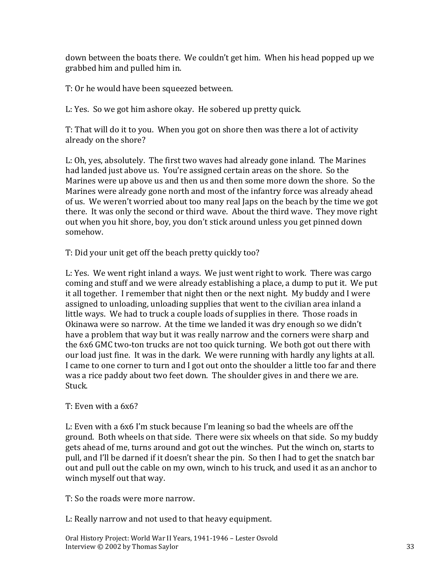down between the boats there. We couldn't get him. When his head popped up we grabbed him and pulled him in.

T: Or he would have been squeezed between.

L: Yes. So we got him ashore okay. He sobered up pretty quick.

T: That will do it to you. When you got on shore then was there a lot of activity already on the shore?

L: Oh, yes, absolutely. The first two waves had already gone inland. The Marines had landed just above us. You're assigned certain areas on the shore. So the Marines were up above us and then us and then some more down the shore. So the Marines were already gone north and most of the infantry force was already ahead of us. We weren't worried about too many real Japs on the beach by the time we got there. It was only the second or third wave. About the third wave. They move right out when you hit shore, boy, you don't stick around unless you get pinned down somehow.

T: Did your unit get off the beach pretty quickly too?

L: Yes. We went right inland a ways. We just went right to work. There was cargo coming and stuff and we were already establishing a place, a dump to put it. We put it all together. I remember that night then or the next night. My buddy and I were assigned to unloading, unloading supplies that went to the civilian area inland a little ways. We had to truck a couple loads of supplies in there. Those roads in Okinawa were so narrow. At the time we landed it was dry enough so we didn't have a problem that way but it was really narrow and the corners were sharp and the 6x6 GMC two-ton trucks are not too quick turning. We both got out there with our load just fine. It was in the dark. We were running with hardly any lights at all. I came to one corner to turn and I got out onto the shoulder a little too far and there was a rice paddy about two feet down. The shoulder gives in and there we are. Stuck.

#### T: Even with a 6x6?

L: Even with a 6x6 I'm stuck because I'm leaning so bad the wheels are off the ground. Both wheels on that side. There were six wheels on that side. So my buddy gets ahead of me, turns around and got out the winches. Put the winch on, starts to pull, and I'll be darned if it doesn't shear the pin. So then I had to get the snatch bar out and pull out the cable on my own, winch to his truck, and used it as an anchor to winch myself out that way.

T: So the roads were more narrow.

L: Really narrow and not used to that heavy equipment.

Oral History Project: World War II Years, 1941-1946 – Lester Osvold Interview © 2002 by Thomas Saylor 33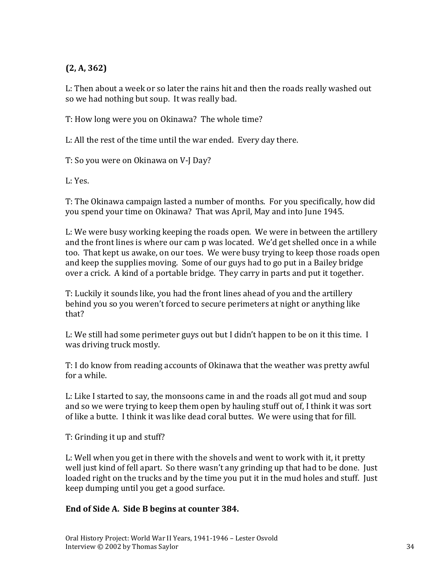# **(2, A, 362)**

L: Then about a week or so later the rains hit and then the roads really washed out so we had nothing but soup. It was really bad.

T: How long were you on Okinawa? The whole time?

L: All the rest of the time until the war ended. Every day there.

T: So you were on Okinawa on V-J Day?

L: Yes.

T: The Okinawa campaign lasted a number of months. For you specifically, how did you spend your time on Okinawa? That was April, May and into June 1945.

L: We were busy working keeping the roads open. We were in between the artillery and the front lines is where our cam p was located. We'd get shelled once in a while too. That kept us awake, on our toes. We were busy trying to keep those roads open and keep the supplies moving. Some of our guys had to go put in a Bailey bridge over a crick. A kind of a portable bridge. They carry in parts and put it together.

T: Luckily it sounds like, you had the front lines ahead of you and the artillery behind you so you weren't forced to secure perimeters at night or anything like that?

L: We still had some perimeter guys out but I didn't happen to be on it this time. I was driving truck mostly.

T: I do know from reading accounts of Okinawa that the weather was pretty awful for a while.

L: Like I started to say, the monsoons came in and the roads all got mud and soup and so we were trying to keep them open by hauling stuff out of, I think it was sort of like a butte. I think it was like dead coral buttes. We were using that for fill.

T: Grinding it up and stuff?

L: Well when you get in there with the shovels and went to work with it, it pretty well just kind of fell apart. So there wasn't any grinding up that had to be done. Just loaded right on the trucks and by the time you put it in the mud holes and stuff. Just keep dumping until you get a good surface.

# **End of Side A. Side B begins at counter 384.**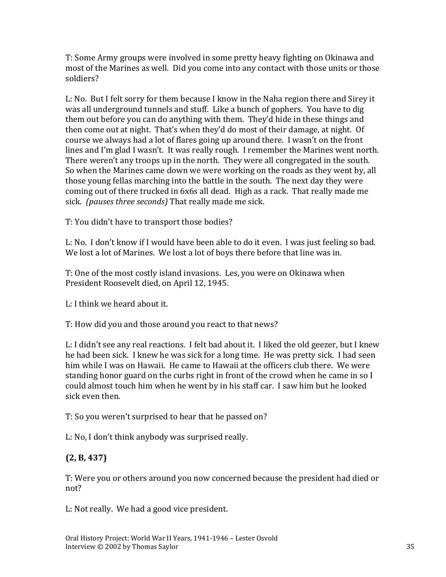T: Some Army groups were involved in some pretty heavy fighting on Okinawa and most of the Marines as well. Did you come into any contact with those units or those soldiers?

L: No. But I felt sorry for them because I know in the Naha region there and Sirey it was all underground tunnels and stuff. Like a bunch of gophers. You have to dig them out before you can do anything with them. They'd hide in these things and then come out at night. That's when they'd do most of their damage, at night. Of course we always had a lot of flares going up around there. I wasn't on the front lines and I'm glad I wasn't. It was really rough. I remember the Marines went north. There weren't any troops up in the north. They were all congregated in the south. So when the Marines came down we were working on the roads as they went by, all those young fellas marching into the battle in the south. The next day they were coming out of there trucked in 6x6s all dead. High as a rack. That really made me sick. *(pauses three seconds)* That really made me sick.

T: You didn't have to transport those bodies?

L: No. I don't know if I would have been able to do it even. I was just feeling so bad. We lost a lot of Marines. We lost a lot of boys there before that line was in.

T: One of the most costly island invasions. Les, you were on Okinawa when President Roosevelt died, on April 12, 1945.

L: I think we heard about it.

T: How did you and those around you react to that news?

L: I didn't see any real reactions. I felt bad about it. I liked the old geezer, but I knew he had been sick. I knew he was sick for a long time. He was pretty sick. I had seen him while I was on Hawaii. He came to Hawaii at the officers club there. We were standing honor guard on the curbs right in front of the crowd when he came in so I could almost touch him when he went by in his staff car. I saw him but he looked sick even then.

T: So you weren't surprised to hear that he passed on?

L: No, I don't think anybody was surprised really.

# **(2, B, 437)**

T: Were you or others around you now concerned because the president had died or not?

L: Not really. We had a good vice president.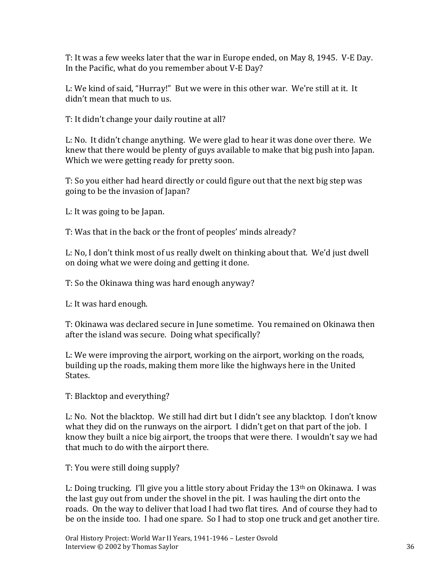T: It was a few weeks later that the war in Europe ended, on May 8, 1945. V-E Day. In the Pacific, what do you remember about V-E Day?

L: We kind of said, "Hurray!" But we were in this other war. We're still at it. It didn't mean that much to us.

T: It didn't change your daily routine at all?

L: No. It didn't change anything. We were glad to hear it was done over there. We knew that there would be plenty of guys available to make that big push into Japan. Which we were getting ready for pretty soon.

T: So you either had heard directly or could figure out that the next big step was going to be the invasion of Japan?

L: It was going to be Japan.

T: Was that in the back or the front of peoples' minds already?

L: No, I don't think most of us really dwelt on thinking about that. We'd just dwell on doing what we were doing and getting it done.

T: So the Okinawa thing was hard enough anyway?

L: It was hard enough.

T: Okinawa was declared secure in June sometime. You remained on Okinawa then after the island was secure. Doing what specifically?

L: We were improving the airport, working on the airport, working on the roads, building up the roads, making them more like the highways here in the United States.

T: Blacktop and everything?

L: No. Not the blacktop. We still had dirt but I didn't see any blacktop. I don't know what they did on the runways on the airport. I didn't get on that part of the job. I know they built a nice big airport, the troops that were there. I wouldn't say we had that much to do with the airport there.

T: You were still doing supply?

L: Doing trucking. I'll give you a little story about Friday the  $13<sup>th</sup>$  on Okinawa. I was the last guy out from under the shovel in the pit. I was hauling the dirt onto the roads. On the way to deliver that load I had two flat tires. And of course they had to be on the inside too. I had one spare. So I had to stop one truck and get another tire.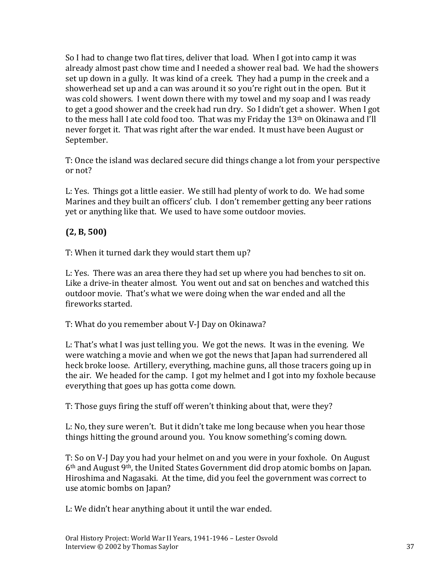So I had to change two flat tires, deliver that load. When I got into camp it was already almost past chow time and I needed a shower real bad. We had the showers set up down in a gully. It was kind of a creek. They had a pump in the creek and a showerhead set up and a can was around it so you're right out in the open. But it was cold showers. I went down there with my towel and my soap and I was ready to get a good shower and the creek had run dry. So I didn't get a shower. When I got to the mess hall I ate cold food too. That was my Friday the 13th on Okinawa and I'll never forget it. That was right after the war ended. It must have been August or September.

T: Once the island was declared secure did things change a lot from your perspective or not?

L: Yes. Things got a little easier. We still had plenty of work to do. We had some Marines and they built an officers' club. I don't remember getting any beer rations yet or anything like that. We used to have some outdoor movies.

## **(2, B, 500)**

T: When it turned dark they would start them up?

L: Yes. There was an area there they had set up where you had benches to sit on. Like a drive-in theater almost. You went out and sat on benches and watched this outdoor movie. That's what we were doing when the war ended and all the fireworks started.

T: What do you remember about V-J Day on Okinawa?

L: That's what I was just telling you. We got the news. It was in the evening. We were watching a movie and when we got the news that Japan had surrendered all heck broke loose. Artillery, everything, machine guns, all those tracers going up in the air. We headed for the camp. I got my helmet and I got into my foxhole because everything that goes up has gotta come down.

T: Those guys firing the stuff off weren't thinking about that, were they?

L: No, they sure weren't. But it didn't take me long because when you hear those things hitting the ground around you. You know something's coming down.

T: So on V-J Day you had your helmet on and you were in your foxhole. On August 6th and August 9th, the United States Government did drop atomic bombs on Japan. Hiroshima and Nagasaki. At the time, did you feel the government was correct to use atomic bombs on Japan?

L: We didn't hear anything about it until the war ended.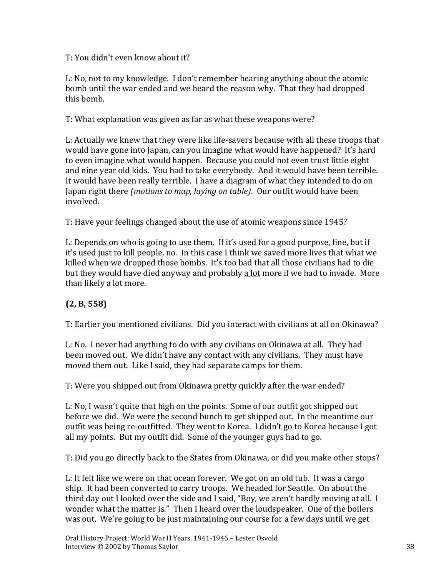### T: You didn't even know about it?

L: No, not to my knowledge. I don't remember hearing anything about the atomic bomb until the war ended and we heard the reason why. That they had dropped this bomb.

T: What explanation was given as far as what these weapons were?

L: Actually we knew that they were like life-savers because with all these troops that would have gone into Japan, can you imagine what would have happened? It's hard to even imagine what would happen. Because you could not even trust little eight and nine year old kids. You had to take everybody. And it would have been terrible. It would have been really terrible. I have a diagram of what they intended to do on Japan right there *(motions to map, laying on table)*. Our outfit would have been involved.

T: Have your feelings changed about the use of atomic weapons since 1945?

L: Depends on who is going to use them. If it's used for a good purpose, fine, but if it's used just to kill people, no. In this case I think we saved more lives that what we killed when we dropped those bombs. It's too bad that all those civilians had to die but they would have died anyway and probably a lot more if we had to invade. More than likely a lot more.

# **(2, B, 558)**

T: Earlier you mentioned civilians. Did you interact with civilians at all on Okinawa?

L: No. I never had anything to do with any civilians on Okinawa at all. They had been moved out. We didn't have any contact with any civilians. They must have moved them out. Like I said, they had separate camps for them.

T: Were you shipped out from Okinawa pretty quickly after the war ended?

L: No, I wasn't quite that high on the points. Some of our outfit got shipped out before we did. We were the second bunch to get shipped out. In the meantime our outfit was being re-outfitted. They went to Korea. I didn't go to Korea because I got all my points. But my outfit did. Some of the younger guys had to go.

T: Did you go directly back to the States from Okinawa, or did you make other stops?

L: It felt like we were on that ocean forever. We got on an old tub. It was a cargo ship. It had been converted to carry troops. We headed for Seattle. On about the third day out I looked over the side and I said, "Boy, we aren't hardly moving at all. I wonder what the matter is." Then I heard over the loudspeaker. One of the boilers was out. We're going to be just maintaining our course for a few days until we get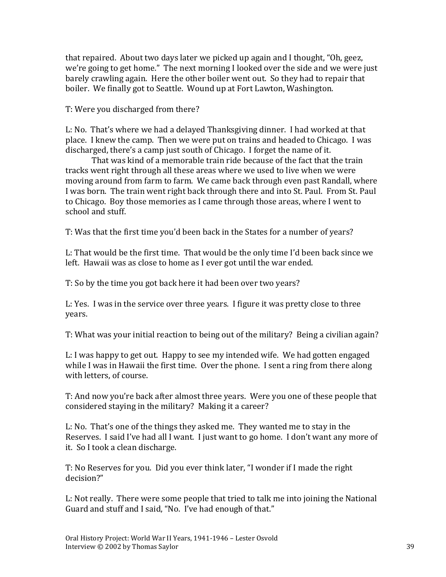that repaired. About two days later we picked up again and I thought, "Oh, geez, we're going to get home." The next morning I looked over the side and we were just barely crawling again. Here the other boiler went out. So they had to repair that boiler. We finally got to Seattle. Wound up at Fort Lawton, Washington.

T: Were you discharged from there?

L: No. That's where we had a delayed Thanksgiving dinner. I had worked at that place. I knew the camp. Then we were put on trains and headed to Chicago. I was discharged, there's a camp just south of Chicago. I forget the name of it.

That was kind of a memorable train ride because of the fact that the train tracks went right through all these areas where we used to live when we were moving around from farm to farm. We came back through even past Randall, where I was born. The train went right back through there and into St. Paul. From St. Paul to Chicago. Boy those memories as I came through those areas, where I went to school and stuff.

T: Was that the first time you'd been back in the States for a number of years?

L: That would be the first time. That would be the only time I'd been back since we left. Hawaii was as close to home as I ever got until the war ended.

T: So by the time you got back here it had been over two years?

L: Yes. I was in the service over three years. I figure it was pretty close to three years.

T: What was your initial reaction to being out of the military? Being a civilian again?

L: I was happy to get out. Happy to see my intended wife. We had gotten engaged while I was in Hawaii the first time. Over the phone. I sent a ring from there along with letters, of course.

T: And now you're back after almost three years. Were you one of these people that considered staying in the military? Making it a career?

L: No. That's one of the things they asked me. They wanted me to stay in the Reserves. I said I've had all I want. I just want to go home. I don't want any more of it. So I took a clean discharge.

T: No Reserves for you. Did you ever think later, "I wonder if I made the right decision?"

L: Not really. There were some people that tried to talk me into joining the National Guard and stuff and I said, "No. I've had enough of that."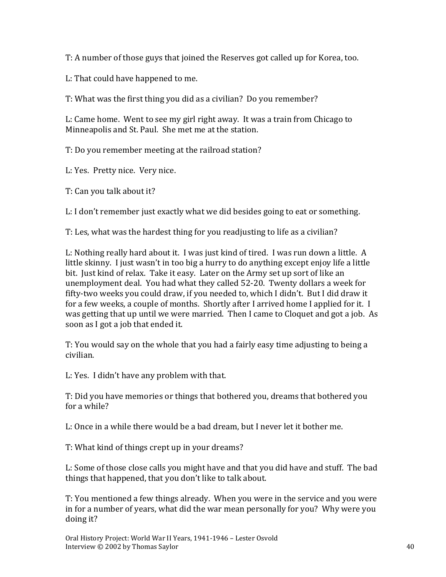T: A number of those guys that joined the Reserves got called up for Korea, too.

L: That could have happened to me.

T: What was the first thing you did as a civilian? Do you remember?

L: Came home. Went to see my girl right away. It was a train from Chicago to Minneapolis and St. Paul. She met me at the station.

T: Do you remember meeting at the railroad station?

L: Yes. Pretty nice. Very nice.

T: Can you talk about it?

L: I don't remember just exactly what we did besides going to eat or something.

T: Les, what was the hardest thing for you readjusting to life as a civilian?

L: Nothing really hard about it. I was just kind of tired. I was run down a little. A little skinny. I just wasn't in too big a hurry to do anything except enjoy life a little bit. Just kind of relax. Take it easy. Later on the Army set up sort of like an unemployment deal. You had what they called 52-20. Twenty dollars a week for fifty-two weeks you could draw, if you needed to, which I didn't. But I did draw it for a few weeks, a couple of months. Shortly after I arrived home I applied for it. I was getting that up until we were married. Then I came to Cloquet and got a job. As soon as I got a job that ended it.

T: You would say on the whole that you had a fairly easy time adjusting to being a civilian.

L: Yes. I didn't have any problem with that.

T: Did you have memories or things that bothered you, dreams that bothered you for a while?

L: Once in a while there would be a bad dream, but I never let it bother me.

T: What kind of things crept up in your dreams?

L: Some of those close calls you might have and that you did have and stuff. The bad things that happened, that you don't like to talk about.

T: You mentioned a few things already. When you were in the service and you were in for a number of years, what did the war mean personally for you? Why were you doing it?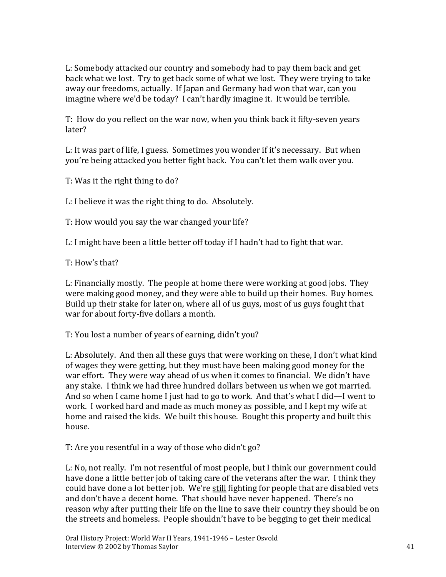L: Somebody attacked our country and somebody had to pay them back and get back what we lost. Try to get back some of what we lost. They were trying to take away our freedoms, actually. If Japan and Germany had won that war, can you imagine where we'd be today? I can't hardly imagine it. It would be terrible.

T: How do you reflect on the war now, when you think back it fifty-seven years later?

L: It was part of life, I guess. Sometimes you wonder if it's necessary. But when you're being attacked you better fight back. You can't let them walk over you.

T: Was it the right thing to do?

L: I believe it was the right thing to do. Absolutely.

T: How would you say the war changed your life?

L: I might have been a little better off today if I hadn't had to fight that war.

T: How's that?

L: Financially mostly. The people at home there were working at good jobs. They were making good money, and they were able to build up their homes. Buy homes. Build up their stake for later on, where all of us guys, most of us guys fought that war for about forty-five dollars a month.

T: You lost a number of years of earning, didn't you?

L: Absolutely. And then all these guys that were working on these, I don't what kind of wages they were getting, but they must have been making good money for the war effort. They were way ahead of us when it comes to financial. We didn't have any stake. I think we had three hundred dollars between us when we got married. And so when I came home I just had to go to work. And that's what I did—I went to work. I worked hard and made as much money as possible, and I kept my wife at home and raised the kids. We built this house. Bought this property and built this house.

T: Are you resentful in a way of those who didn't go?

L: No, not really. I'm not resentful of most people, but I think our government could have done a little better job of taking care of the veterans after the war. I think they could have done a lot better job. We're still fighting for people that are disabled vets and don't have a decent home. That should have never happened. There's no reason why after putting their life on the line to save their country they should be on the streets and homeless. People shouldn't have to be begging to get their medical